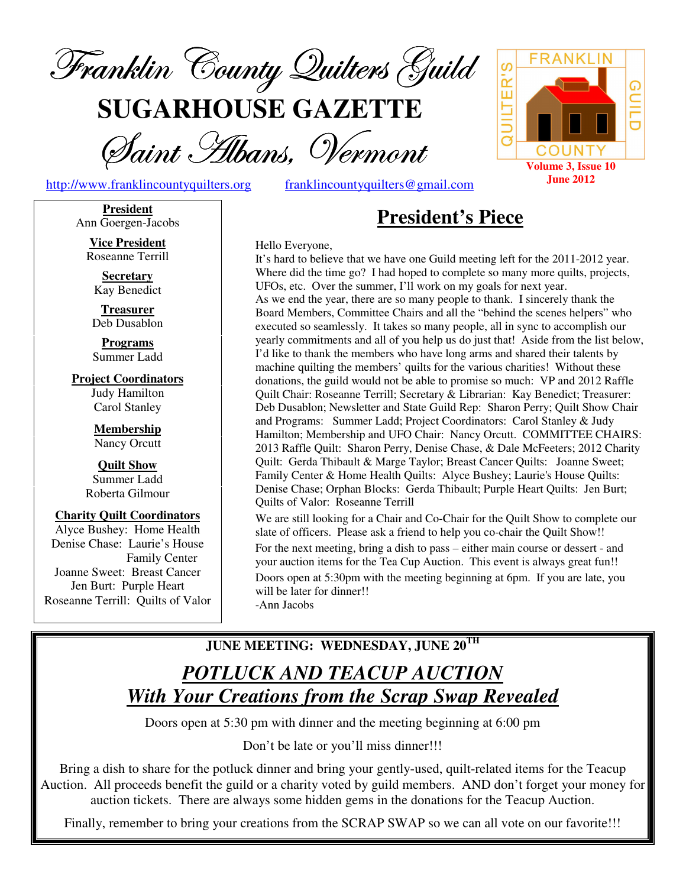

**SUGARHOUSE GAZETTE**

Saint Hibans, Vermont

http://www.franklincountyquilters.org franklincountyquilters@gmail.com

**President**  Ann Goergen-Jacobs

> **Vice President**  Roseanne Terrill

**Secretary**  Kay Benedict

**Treasurer**  Deb Dusablon

**Programs**  Summer Ladd

**Project Coordinators**  Judy Hamilton Carol Stanley

> **Membership**  Nancy Orcutt

**Quilt Show**  Summer Ladd Roberta Gilmour

**Charity Quilt Coordinators**  Alyce Bushey: Home Health Denise Chase: Laurie's House Family Center Joanne Sweet: Breast Cancer Jen Burt: Purple Heart Roseanne Terrill: Quilts of Valor **President's Piece**

Hello Everyone,

It's hard to believe that we have one Guild meeting left for the 2011-2012 year. Where did the time go? I had hoped to complete so many more quilts, projects, UFOs, etc. Over the summer, I'll work on my goals for next year. As we end the year, there are so many people to thank. I sincerely thank the Board Members, Committee Chairs and all the "behind the scenes helpers" who executed so seamlessly. It takes so many people, all in sync to accomplish our yearly commitments and all of you help us do just that! Aside from the list below, I'd like to thank the members who have long arms and shared their talents by machine quilting the members' quilts for the various charities! Without these donations, the guild would not be able to promise so much: VP and 2012 Raffle Quilt Chair: Roseanne Terrill; Secretary & Librarian: Kay Benedict; Treasurer: Deb Dusablon; Newsletter and State Guild Rep: Sharon Perry; Quilt Show Chair and Programs: Summer Ladd; Project Coordinators: Carol Stanley & Judy Hamilton; Membership and UFO Chair: Nancy Orcutt. COMMITTEE CHAIRS: 2013 Raffle Quilt: Sharon Perry, Denise Chase, & Dale McFeeters; 2012 Charity Quilt: Gerda Thibault & Marge Taylor; Breast Cancer Quilts: Joanne Sweet; Family Center & Home Health Quilts: Alyce Bushey; Laurie's House Quilts: Denise Chase; Orphan Blocks: Gerda Thibault; Purple Heart Quilts: Jen Burt; Quilts of Valor: Roseanne Terrill We are still looking for a Chair and Co-Chair for the Quilt Show to complete our

slate of officers. Please ask a friend to help you co-chair the Quilt Show!! For the next meeting, bring a dish to pass – either main course or dessert - and your auction items for the Tea Cup Auction. This event is always great fun!! Doors open at 5:30pm with the meeting beginning at 6pm. If you are late, you will be later for dinner!! -Ann Jacobs

### **JUNE MEETING: WEDNESDAY, JUNE 20TH**

# *POTLUCK AND TEACUP AUCTION With Your Creations from the Scrap Swap Revealed*

Doors open at 5:30 pm with dinner and the meeting beginning at 6:00 pm

Don't be late or you'll miss dinner!!!

Bring a dish to share for the potluck dinner and bring your gently-used, quilt-related items for the Teacup Auction. All proceeds benefit the guild or a charity voted by guild members. AND don't forget your money for auction tickets. There are always some hidden gems in the donations for the Teacup Auction.

Finally, remember to bring your creations from the SCRAP SWAP so we can all vote on our favorite!!!

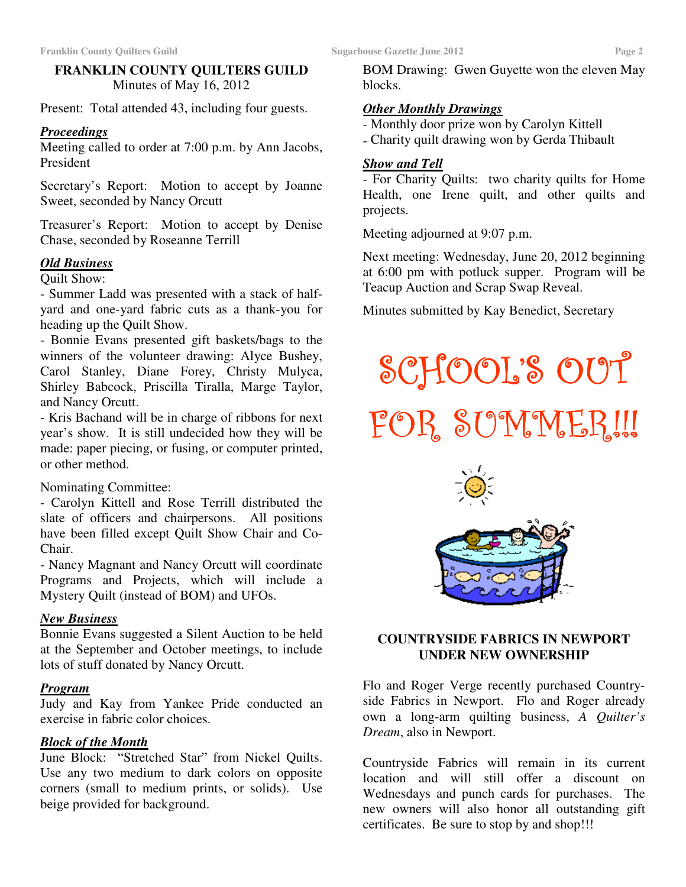### **FRANKLIN COUNTY QUILTERS GUILD**  Minutes of May 16, 2012

Present: Total attended 43, including four guests.

### *Proceedings*

Meeting called to order at 7:00 p.m. by Ann Jacobs, President

Secretary's Report: Motion to accept by Joanne Sweet, seconded by Nancy Orcutt

Treasurer's Report: Motion to accept by Denise Chase, seconded by Roseanne Terrill

### *Old Business*

Quilt Show:

- Summer Ladd was presented with a stack of halfyard and one-yard fabric cuts as a thank-you for heading up the Quilt Show.

- Bonnie Evans presented gift baskets/bags to the winners of the volunteer drawing: Alyce Bushey, Carol Stanley, Diane Forey, Christy Mulyca, Shirley Babcock, Priscilla Tiralla, Marge Taylor, and Nancy Orcutt.

- Kris Bachand will be in charge of ribbons for next year's show. It is still undecided how they will be made: paper piecing, or fusing, or computer printed, or other method.

### Nominating Committee:

- Carolyn Kittell and Rose Terrill distributed the slate of officers and chairpersons. All positions have been filled except Quilt Show Chair and Co-Chair.

- Nancy Magnant and Nancy Orcutt will coordinate Programs and Projects, which will include a Mystery Quilt (instead of BOM) and UFOs.

### *New Business*

Bonnie Evans suggested a Silent Auction to be held at the September and October meetings, to include lots of stuff donated by Nancy Orcutt.

### *Program*

Judy and Kay from Yankee Pride conducted an exercise in fabric color choices.

### *Block of the Month*

June Block: "Stretched Star" from Nickel Quilts. Use any two medium to dark colors on opposite corners (small to medium prints, or solids). Use beige provided for background.

BOM Drawing: Gwen Guyette won the eleven May blocks.

### *Other Monthly Drawings*

- Monthly door prize won by Carolyn Kittell
- Charity quilt drawing won by Gerda Thibault

### *Show and Tell*

- For Charity Quilts: two charity quilts for Home Health, one Irene quilt, and other quilts and projects.

Meeting adjourned at 9:07 p.m.

Next meeting: Wednesday, June 20, 2012 beginning at 6:00 pm with potluck supper. Program will be Teacup Auction and Scrap Swap Reveal.

Minutes submitted by Kay Benedict, Secretary

SCHOOL'S OUT FOR SUMMER!!!



### **COUNTRYSIDE FABRICS IN NEWPORT UNDER NEW OWNERSHIP**

Flo and Roger Verge recently purchased Countryside Fabrics in Newport. Flo and Roger already own a long-arm quilting business, *A Quilter's Dream*, also in Newport.

Countryside Fabrics will remain in its current location and will still offer a discount on Wednesdays and punch cards for purchases. The new owners will also honor all outstanding gift certificates. Be sure to stop by and shop!!!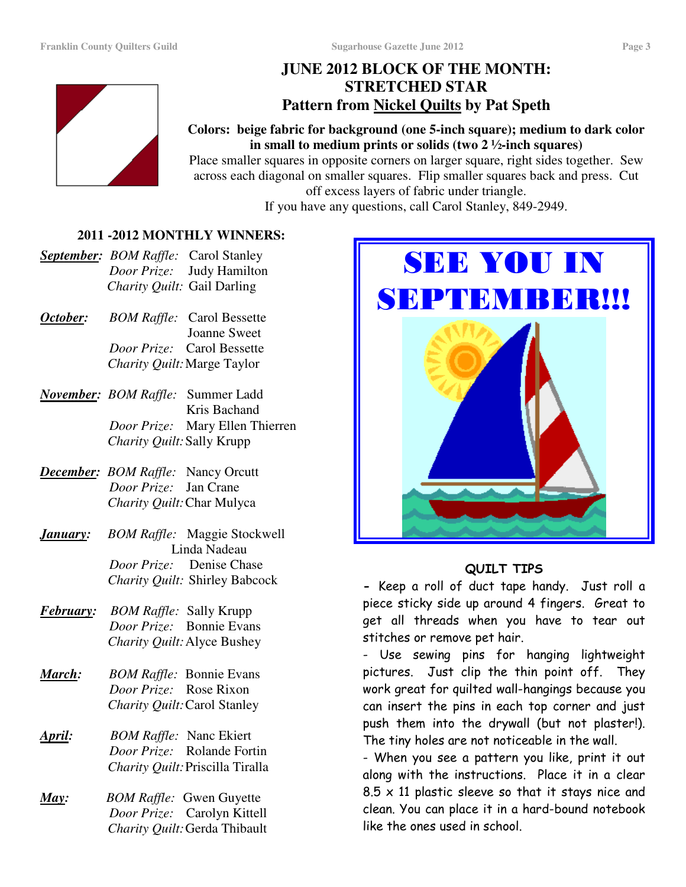### **JUNE 2012 BLOCK OF THE MONTH: STRETCHED STAR Pattern from Nickel Quilts by Pat Speth**



### **Colors: beige fabric for background (one 5-inch square); medium to dark color in small to medium prints or solids (two 2 ½-inch squares)**

Place smaller squares in opposite corners on larger square, right sides together. Sew across each diagonal on smaller squares. Flip smaller squares back and press. Cut off excess layers of fabric under triangle. If you have any questions, call Carol Stanley, 849-2949.

### **2011 -2012 MONTHLY WINNERS:**

- *September: BOM Raffle:* Carol Stanley  *Door Prize:* Judy Hamilton  *Charity Quilt:* Gail Darling
- *October: BOM Raffle:* Carol Bessette Joanne Sweet  *Door Prize:* Carol Bessette  *Charity Quilt:* Marge Taylor
- *November: BOM Raffle:* Summer Ladd Kris Bachand  *Door Prize:* Mary Ellen Thierren  *Charity Quilt:* Sally Krupp
- *December: BOM Raffle:* Nancy Orcutt  *Door Prize:* Jan Crane  *Charity Quilt:* Char Mulyca
- *January: BOM Raffle:* Maggie Stockwell Linda Nadeau  *Door Prize:* Denise Chase *Charity Quilt:* Shirley Babcock
- *February: BOM Raffle:* Sally Krupp  *Door Prize:* Bonnie Evans *Charity Quilt:* Alyce Bushey
- *March: BOM Raffle:* Bonnie Evans  *Door Prize:* Rose Rixon *Charity Quilt:* Carol Stanley
- *April: BOM Raffle:* Nanc Ekiert  *Door Prize:* Rolande Fortin *Charity Quilt:* Priscilla Tiralla
- *May: BOM Raffle:* Gwen Guyette  *Door Prize:* Carolyn Kittell *Charity Quilt:* Gerda Thibault



### QUILT TIPS

- Keep a roll of duct tape handy. Just roll a piece sticky side up around 4 fingers. Great to get all threads when you have to tear out stitches or remove pet hair.

- Use sewing pins for hanging lightweight pictures. Just clip the thin point off. They work great for quilted wall-hangings because you can insert the pins in each top corner and just push them into the drywall (but not plaster!). The tiny holes are not noticeable in the wall.

- When you see a pattern you like, print it out along with the instructions. Place it in a clear  $8.5 \times 11$  plastic sleeve so that it stays nice and clean. You can place it in a hard-bound notebook like the ones used in school.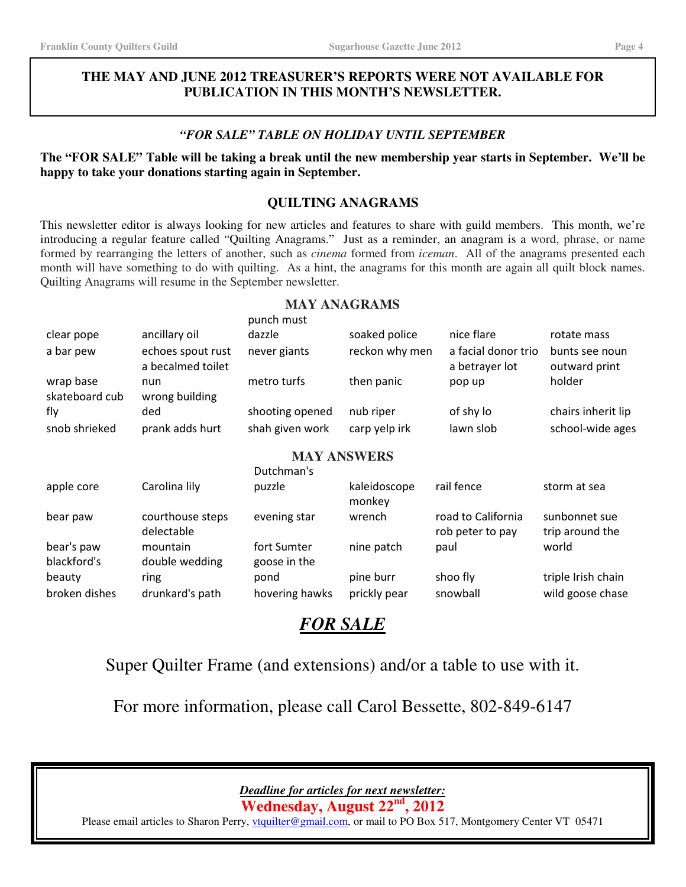### **THE MAY AND JUNE 2012 TREASURER'S REPORTS WERE NOT AVAILABLE FOR PUBLICATION IN THIS MONTH'S NEWSLETTER.**

### *"FOR SALE" TABLE ON HOLIDAY UNTIL SEPTEMBER*

### **The "FOR SALE" Table will be taking a break until the new membership year starts in September. We'll be happy to take your donations starting again in September.**

### **QUILTING ANAGRAMS**

This newsletter editor is always looking for new articles and features to share with guild members. This month, we're introducing a regular feature called "Quilting Anagrams." Just as a reminder, an anagram is a word, phrase, or name formed by rearranging the letters of another, such as *cinema* formed from *iceman*. All of the anagrams presented each month will have something to do with quilting. As a hint, the anagrams for this month are again all quilt block names. Quilting Anagrams will resume in the September newsletter.

**MAY ANAGRAMS** 

|                             |                                        | punch must      |                        |                                        |                                  |
|-----------------------------|----------------------------------------|-----------------|------------------------|----------------------------------------|----------------------------------|
| clear pope                  | ancillary oil                          | dazzle          | soaked police          | nice flare                             | rotate mass                      |
| a bar pew                   | echoes spout rust<br>a becalmed toilet | never giants    | reckon why men         | a facial donor trio<br>a betrayer lot  | bunts see noun<br>outward print  |
| wrap base<br>skateboard cub | nun<br>wrong building                  | metro turfs     | then panic             | pop up                                 | holder                           |
| fly                         | ded                                    | shooting opened | nub riper              | of shy lo                              | chairs inherit lip               |
| snob shrieked               | prank adds hurt                        | shah given work | carp yelp irk          | lawn slob                              | school-wide ages                 |
| <b>MAY ANSWERS</b>          |                                        |                 |                        |                                        |                                  |
|                             |                                        | Dutchman's      |                        |                                        |                                  |
| apple core                  | Carolina lily                          | puzzle          | kaleidoscope<br>monkey | rail fence                             | storm at sea                     |
| bear paw                    | courthouse steps<br>delectable         | evening star    | wrench                 | road to California<br>rob peter to pay | sunbonnet sue<br>trip around the |
| bear's paw                  | mountain                               | fort Sumter     | nine patch             | paul                                   | world                            |
| blackford's                 | double wedding                         | goose in the    |                        |                                        |                                  |
| beauty                      | ring                                   | pond            | pine burr              | shoo fly                               | triple Irish chain               |
| broken dishes               | drunkard's path                        | hovering hawks  | prickly pear           | snowball                               | wild goose chase                 |

## *FOR SALE*

Super Quilter Frame (and extensions) and/or a table to use with it.

For more information, please call Carol Bessette, 802-849-6147

*Deadline for articles for next newsletter:* 

**Wednesday, August 22nd, 2012** 

Please email articles to Sharon Perry, *vtquilter@gmail.com*, or mail to PO Box 517, Montgomery Center VT 05471